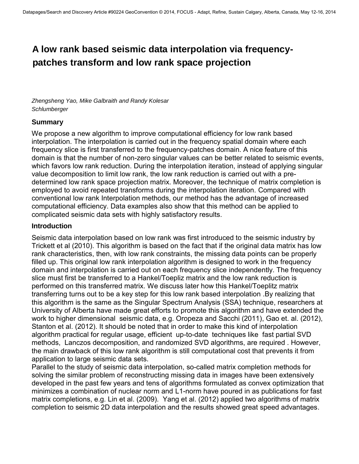# **A low rank based seismic data interpolation via frequencypatches transform and low rank space projection**

*Zhengsheng Yao, Mike Galbraith and Randy Kolesar Schlumberger* 

## **Summary**

We propose a new algorithm to improve computational efficiency for low rank based interpolation. The interpolation is carried out in the frequency spatial domain where each frequency slice is first transferred to the frequency-patches domain. A nice feature of this domain is that the number of non-zero singular values can be better related to seismic events, which favors low rank reduction. During the interpolation iteration, instead of applying singular value decomposition to limit low rank, the low rank reduction is carried out with a predetermined low rank space projection matrix. Moreover, the technique of matrix completion is employed to avoid repeated transforms during the interpolation iteration. Compared with conventional low rank Interpolation methods, our method has the advantage of increased computational efficiency. Data examples also show that this method can be applied to complicated seismic data sets with highly satisfactory results.

## **Introduction**

Seismic data interpolation based on low rank was first introduced to the seismic industry by Trickett et al (2010). This algorithm is based on the fact that if the original data matrix has low rank characteristics, then, with low rank constraints, the missing data points can be properly filled up. This original low rank interpolation algorithm is designed to work in the frequency domain and interpolation is carried out on each frequency slice independently. The frequency slice must first be transferred to a Hankel/Toepliz matrix and the low rank reduction is performed on this transferred matrix. We discuss later how this Hankel/Toeplitz matrix transferring turns out to be a key step for this low rank based interpolation .By realizing that this algorithm is the same as the Singular Spectrum Analysis (SSA) technique, researchers at University of Alberta have made great efforts to promote this algorithm and have extended the work to higher dimensional seismic data, e.g. Oropeza and Sacchi (2011), Gao et. al. (2012), Stanton et al. (2012). It should be noted that in order to make this kind of interpolation algorithm practical for regular usage, efficient up-to-date techniques like fast partial SVD methods, Lanczos decomposition, and randomized SVD algorithms, are required . However, the main drawback of this low rank algorithm is still computational cost that prevents it from application to large seismic data sets.

Parallel to the study of seismic data interpolation, so-called matrix completion methods for solving the similar problem of reconstructing missing data in images have been extensively developed in the past few years and tens of algorithms formulated as convex optimization that minimizes a combination of nuclear norm and L1-norm have poured in as publications for fast matrix completions, e.g. Lin et al. (2009). Yang et al. (2012) applied two algorithms of matrix completion to seismic 2D data interpolation and the results showed great speed advantages.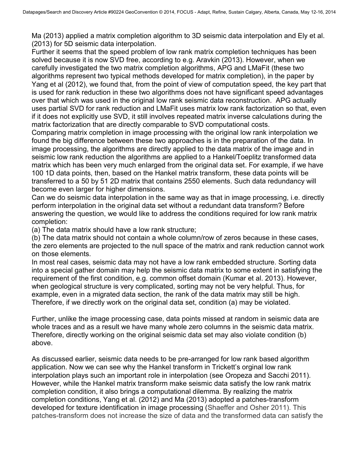Ma (2013) applied a matrix completion algorithm to 3D seismic data interpolation and Ely et al. (2013) for 5D seismic data interpolation.

Further it seems that the speed problem of low rank matrix completion techniques has been solved because it is now SVD free, according to e.g. Aravkin (2013). However, when we carefully investigated the two matrix completion algorithms, APG and LMaFit (these two algorithms represent two typical methods developed for matrix completion), in the paper by Yang et al (2012), we found that, from the point of view of computation speed, the key part that is used for rank reduction in these two algorithms does not have significant speed advantages over that which was used in the original low rank seismic data reconstruction. APG actually uses partial SVD for rank reduction and LMaFit uses matrix low rank factorization so that, even if it does not explicitly use SVD, it still involves repeated matrix inverse calculations during the matrix factorization that are directly comparable to SVD computational costs.

Comparing matrix completion in image processing with the original low rank interpolation we found the big difference between these two approaches is in the preparation of the data. In image processing, the algorithms are directly applied to the data matrix of the image and in seismic low rank reduction the algorithms are applied to a Hankel/Toeplitz transformed data matrix which has been very much enlarged from the original data set. For example, if we have 100 1D data points, then, based on the Hankel matrix transform, these data points will be transferred to a 50 by 51 2D matrix that contains 2550 elements. Such data redundancy will become even larger for higher dimensions.

Can we do seismic data interpolation in the same way as that in image processing, i.e. directly perform interpolation in the original data set without a redundant data transform? Before answering the question, we would like to address the conditions required for low rank matrix completion:

(a) The data matrix should have a low rank structure;

(b) The data matrix should not contain a whole column/row of zeros because in these cases, the zero elements are projected to the null space of the matrix and rank reduction cannot work on those elements.

In most real cases, seismic data may not have a low rank embedded structure. Sorting data into a special gather domain may help the seismic data matrix to some extent in satisfying the requirement of the first condition, e.g. common offset domain (Kumar et al. 2013). However, when geological structure is very complicated, sorting may not be very helpful. Thus, for example, even in a migrated data section, the rank of the data matrix may still be high. Therefore, if we directly work on the original data set, condition (a) may be violated.

Further, unlike the image processing case, data points missed at random in seismic data are whole traces and as a result we have many whole zero columns in the seismic data matrix. Therefore, directly working on the original seismic data set may also violate condition (b) above.

As discussed earlier, seismic data needs to be pre-arranged for low rank based algorithm application. Now we can see why the Hankel transform in Trickett's orginal low rank interpolation plays such an important role in interpolation (see Oropeza and Sacchi 2011). However, while the Hankel matrix transform make seismic data satisfy the low rank matrix completion condition, it also brings a computational dilemma. By realizing the matrix completion conditions, Yang et al. (2012) and Ma (2013) adopted a patches-transform developed for texture identification in image processing (Shaeffer and Osher 2011). This patches-transform does not increase the size of data and the transformed data can satisfy the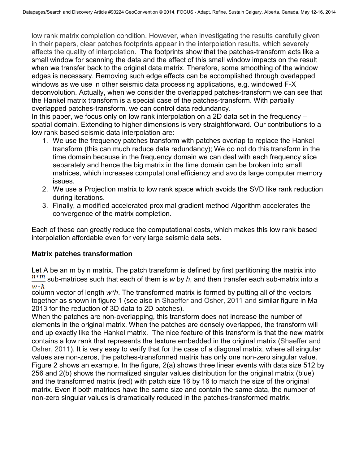low rank matrix completion condition. However, when investigating the results carefully given in their papers, clear patches footprints appear in the interpolation results, which severely affects the quality of interpolation. The footprints show that the patches-transform acts like a small window for scanning the data and the effect of this small window impacts on the result when we transfer back to the original data matrix. Therefore, some smoothing of the window edges is necessary. Removing such edge effects can be accomplished through overlapped windows as we use in other seismic data processing applications, e.g. windowed F-X deconvolution. Actually, when we consider the overlapped patches-transform we can see that the Hankel matrix transform is a special case of the patches-transform. With partially overlapped patches-transform, we can control data redundancy.

In this paper, we focus only on low rank interpolation on a 2D data set in the frequency – spatial domain. Extending to higher dimensions is very straightforward. Our contributions to a low rank based seismic data interpolation are:

- 1. We use the frequency patches transform with patches overlap to replace the Hankel transform (this can much reduce data redundancy); We do not do this transform in the time domain because in the frequency domain we can deal with each frequency slice separately and hence the big matrix in the time domain can be broken into small matrices, which increases computational efficiency and avoids large computer memory issues.
- 2. We use a Projection matrix to low rank space which avoids the SVD like rank reduction during iterations.
- 3. Finally, a modified accelerated proximal gradient method Algorithm accelerates the convergence of the matrix completion.

Each of these can greatly reduce the computational costs, which makes this low rank based interpolation affordable even for very large seismic data sets.

## **Matrix patches transformation**

Let A be an m by n matrix. The patch transform is defined by first partitioning the matrix into  $\frac{n*m}{m}$  sub-matrices such that each of them is *w* by *h*, and then transfer each sub-matrix into a w\*h

column vector of length *w\*h*. The transformed matrix is formed by putting all of the vectors together as shown in figure 1 (see also in Shaeffer and Osher, 2011 and similar figure in Ma 2013 for the reduction of 3D data to 2D patches).

When the patches are non-overlapping, this transform does not increase the number of elements in the original matrix. When the patches are densely overlapped, the transform will end up exactly like the Hankel matrix. The nice feature of this transform is that the new matrix contains a low rank that represents the texture embedded in the original matrix (Shaeffer and Osher, 2011). It is very easy to verify that for the case of a diagonal matrix, where all singular values are non-zeros, the patches-transformed matrix has only one non-zero singular value. Figure 2 shows an example. In the figure, 2(a) shows three linear events with data size 512 by 256 and 2(b) shows the normalized singular values distribution for the original matrix (blue) and the transformed matrix (red) with patch size 16 by 16 to match the size of the original matrix. Even if both matrices have the same size and contain the same data, the number of non-zero singular values is dramatically reduced in the patches-transformed matrix.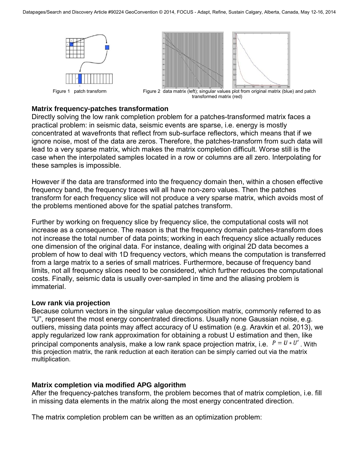



**Figure 1** patch transform Figure 2 data matrix (left); singular values plot from original matrix (blue) and patch transformed matrix (red)

#### **Matrix frequency-patches transformation**

Directly solving the low rank completion problem for a patches-transformed matrix faces a practical problem: in seismic data, seismic events are sparse, i.e. energy is mostly concentrated at wavefronts that reflect from sub-surface reflectors, which means that if we ignore noise, most of the data are zeros. Therefore, the patches-transform from such data will lead to a very sparse matrix, which makes the matrix completion difficult. Worse still is the case when the interpolated samples located in a row or columns are all zero. Interpolating for these samples is impossible.

However if the data are transformed into the frequency domain then, within a chosen effective frequency band, the frequency traces will all have non-zero values. Then the patches transform for each frequency slice will not produce a very sparse matrix, which avoids most of the problems mentioned above for the spatial patches transform.

Further by working on frequency slice by frequency slice, the computational costs will not increase as a consequence. The reason is that the frequency domain patches-transform does not increase the total number of data points; working in each frequency slice actually reduces one dimension of the original data. For instance, dealing with original 2D data becomes a problem of how to deal with 1D frequency vectors, which means the computation is transferred from a large matrix to a series of small matrices. Furthermore, because of frequency band limits, not all frequency slices need to be considered, which further reduces the computational costs. Finally, seismic data is usually over-sampled in time and the aliasing problem is immaterial.

## **Low rank via projection**

Because column vectors in the singular value decomposition matrix, commonly referred to as "U", represent the most energy concentrated directions. Usually none Gaussian noise, e.g. outliers, missing data points may affect accuracy of U estimation (e.g. Aravkin et al. 2013), we apply regularized low rank approximation for obtaining a robust U estimation and then, like principal components analysis, make a low rank space projection matrix, i.e.  $P = U * U'$ . With this projection matrix, the rank reduction at each iteration can be simply carried out via the matrix multiplication.

## **Matrix completion via modified APG algorithm**

After the frequency-patches transform, the problem becomes that of matrix completion, i.e. fill in missing data elements in the matrix along the most energy concentrated direction.

The matrix completion problem can be written as an optimization problem: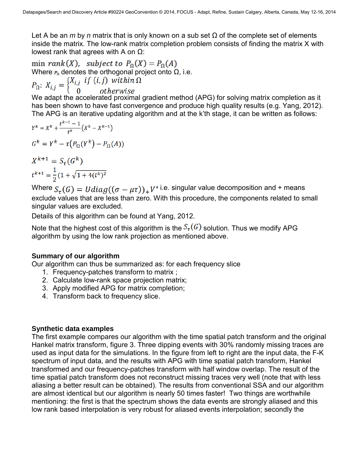Let A be an *m* by *n* matrix that is only known on a sub set Ω of the complete set of elements inside the matrix. The low-rank matrix completion problem consists of finding the matrix X with lowest rank that agrees with A on Ω:

min rank(X), subject to  $P_0(X) = P_0(A)$ Where  $P_a$  denotes the orthogonal project onto  $\Omega$ , i.e.  $\Omega$ 

$$
P_{\Omega}: X_{i,j} = \begin{cases} X_{i,j} & \text{if } (i,j) \text{ with } n \\ 0 & \text{otherwise} \end{cases}
$$

We adapt the accelerated proximal gradient method (APG) for solving matrix completion as it has been shown to have fast convergence and produce high quality results (e.g. Yang, 2012). The APG is an iterative updating algorithm and at the k'th stage, it can be written as follows:

$$
Y^{k} = X^{k} + \frac{t^{k-1} - 1}{t^{k}} (X^{k} - X^{k-1})
$$
  

$$
G^{k} = Y^{k} - \tau (P_{\Omega}(Y^{k}) - P_{\Omega}(A))
$$

$$
X^{k+1} = S_{\tau}(G^{k})
$$
  

$$
t^{k+1} = \frac{1}{2}(1 + \sqrt{1 + 4(t^{k})^{2}})
$$

Where  $S_{\tau}(G) = Udiag((\sigma - \mu \tau))_{+}V^*$  i.e. singular value decomposition and + means exclude values that are less than zero. With this procedure, the components related to small singular values are excluded.

Details of this algorithm can be found at Yang, 2012.

Note that the highest cost of this algorithm is the  $S_{\tau}(G)$  solution. Thus we modify APG algorithm by using the low rank projection as mentioned above.

## **Summary of our algorithm**

Our algorithm can thus be summarized as: for each frequency slice

- 1. Frequency-patches transform to matrix ;
- 2. Calculate low-rank space projection matrix;
- 3. Apply modified APG for matrix completion;
- 4. Transform back to frequency slice.

## **Synthetic data examples**

The first example compares our algorithm with the time spatial patch transform and the original Hankel matrix transform, figure 3. Three dipping events with 30% randomly missing traces are used as input data for the simulations. In the figure from left to right are the input data, the F-K spectrum of input data, and the results with APG with time spatial patch transform, Hankel transformed and our frequency-patches transform with half window overlap. The result of the time spatial patch transform does not reconstruct missing traces very well (note that with less aliasing a better result can be obtained). The results from conventional SSA and our algorithm are almost identical but our algorithm is nearly 50 times faster! Two things are worthwhile mentioning: the first is that the spectrum shows the data events are strongly aliased and this low rank based interpolation is very robust for aliased events interpolation; secondly the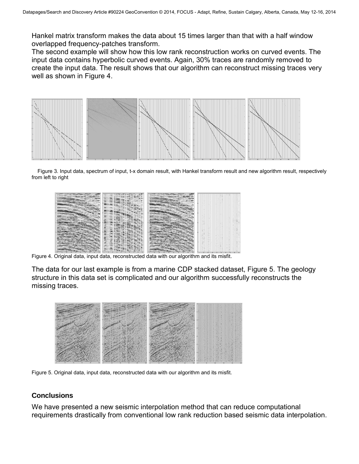Hankel matrix transform makes the data about 15 times larger than that with a half window overlapped frequency-patches transform.

The second example will show how this low rank reconstruction works on curved events. The input data contains hyperbolic curved events. Again, 30% traces are randomly removed to create the input data. The result shows that our algorithm can reconstruct missing traces very well as shown in Figure 4.



Figure 3. Input data, spectrum of input, t-x domain result, with Hankel transform result and new algorithm result, respectively from left to right



Figure 4. Original data, input data, reconstructed data with our algorithm and its misfit.

The data for our last example is from a marine CDP stacked dataset, Figure 5. The geology structure in this data set is complicated and our algorithm successfully reconstructs the missing traces.



Figure 5. Original data, input data, reconstructed data with our algorithm and its misfit.

## **Conclusions**

We have presented a new seismic interpolation method that can reduce computational requirements drastically from conventional low rank reduction based seismic data interpolation.